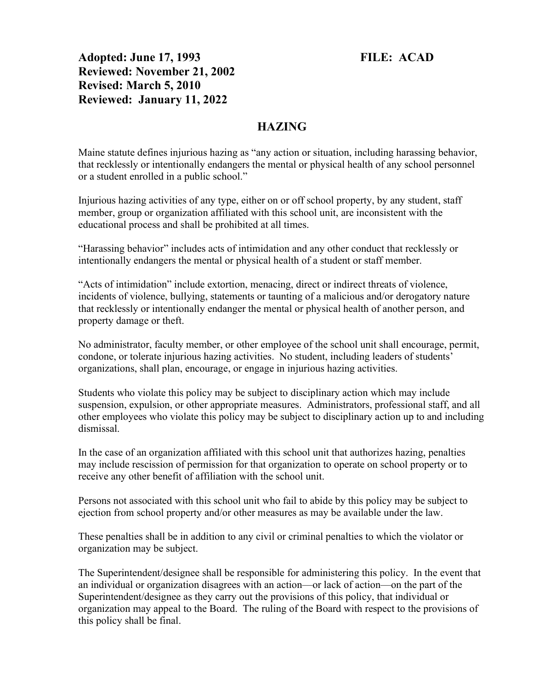Adopted: June 17, 1993 FILE: ACAD Reviewed: November 21, 2002 Revised: March 5, 2010 Reviewed: January 11, 2022

## HAZING

Maine statute defines injurious hazing as "any action or situation, including harassing behavior, that recklessly or intentionally endangers the mental or physical health of any school personnel or a student enrolled in a public school."

Injurious hazing activities of any type, either on or off school property, by any student, staff member, group or organization affiliated with this school unit, are inconsistent with the educational process and shall be prohibited at all times.

"Harassing behavior" includes acts of intimidation and any other conduct that recklessly or intentionally endangers the mental or physical health of a student or staff member.

"Acts of intimidation" include extortion, menacing, direct or indirect threats of violence, incidents of violence, bullying, statements or taunting of a malicious and/or derogatory nature that recklessly or intentionally endanger the mental or physical health of another person, and property damage or theft.

No administrator, faculty member, or other employee of the school unit shall encourage, permit, condone, or tolerate injurious hazing activities. No student, including leaders of students' organizations, shall plan, encourage, or engage in injurious hazing activities.

Students who violate this policy may be subject to disciplinary action which may include suspension, expulsion, or other appropriate measures. Administrators, professional staff, and all other employees who violate this policy may be subject to disciplinary action up to and including dismissal.

In the case of an organization affiliated with this school unit that authorizes hazing, penalties may include rescission of permission for that organization to operate on school property or to receive any other benefit of affiliation with the school unit.

Persons not associated with this school unit who fail to abide by this policy may be subject to ejection from school property and/or other measures as may be available under the law.

These penalties shall be in addition to any civil or criminal penalties to which the violator or organization may be subject.

The Superintendent/designee shall be responsible for administering this policy. In the event that an individual or organization disagrees with an action—or lack of action—on the part of the Superintendent/designee as they carry out the provisions of this policy, that individual or organization may appeal to the Board. The ruling of the Board with respect to the provisions of this policy shall be final.